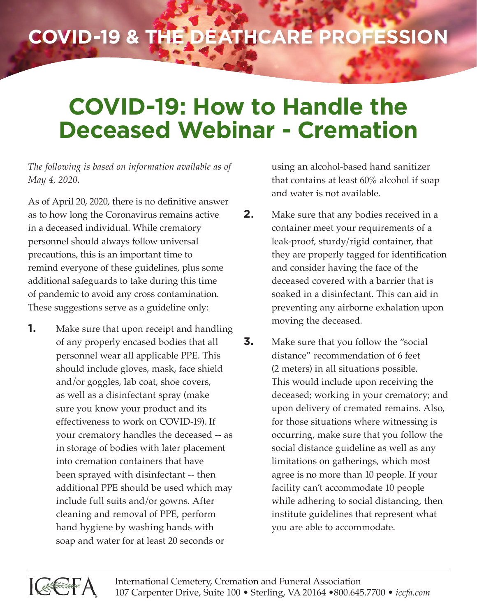## **COVID-19 & the Deathcare Profession**

## **COVID-19: How to Handle the Deceased Webinar - Cremation**

*The following is based on information available as of May 4, 2020.*

As of April 20, 2020, there is no definitive answer as to how long the Coronavirus remains active in a deceased individual. While crematory personnel should always follow universal precautions, this is an important time to remind everyone of these guidelines, plus some additional safeguards to take during this time of pandemic to avoid any cross contamination. These suggestions serve as a guideline only:

**1.** Make sure that upon receipt and handling of any properly encased bodies that all personnel wear all applicable PPE. This should include gloves, mask, face shield and/or goggles, lab coat, shoe covers, as well as a disinfectant spray (make sure you know your product and its effectiveness to work on COVID-19). If your crematory handles the deceased -- as in storage of bodies with later placement into cremation containers that have been sprayed with disinfectant -- then additional PPE should be used which may include full suits and/or gowns. After cleaning and removal of PPE, perform hand hygiene by washing hands with soap and water for at least 20 seconds or

using an alcohol-based hand sanitizer that contains at least 60% alcohol if soap and water is not available.

- **2.** Make sure that any bodies received in a container meet your requirements of a leak-proof, sturdy/rigid container, that they are properly tagged for identification and consider having the face of the deceased covered with a barrier that is soaked in a disinfectant. This can aid in preventing any airborne exhalation upon moving the deceased.
- **3.** Make sure that you follow the "social" distance" recommendation of 6 feet (2 meters) in all situations possible. This would include upon receiving the deceased; working in your crematory; and upon delivery of cremated remains. Also, for those situations where witnessing is occurring, make sure that you follow the social distance guideline as well as any limitations on gatherings, which most agree is no more than 10 people. If your facility can't accommodate 10 people while adhering to social distancing, then institute guidelines that represent what you are able to accommodate.



International Cemetery, Cremation and Funeral Association 107 Carpenter Drive, Suite 100 • Sterling, VA 20164 •800.645.7700 • *iccfa.com*